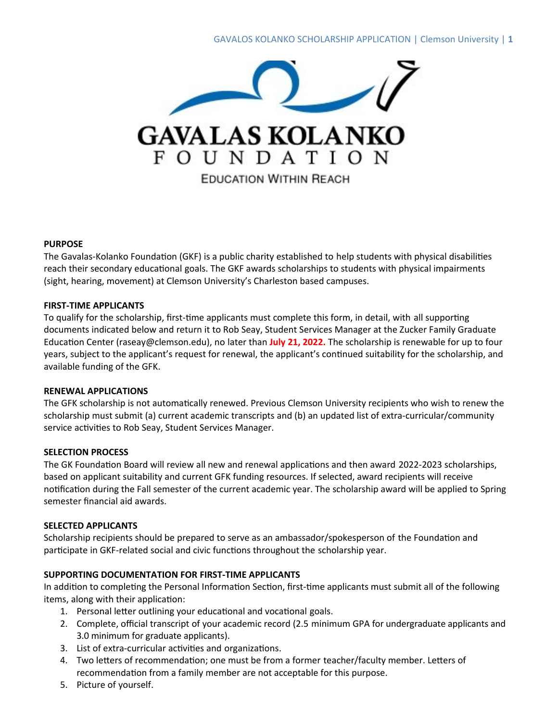

#### **PURPOSE**

The Gavalas-Kolanko Foundation (GKF) is a public charity established to help students with physical disabilities reach their secondary educational goals. The GKF awards scholarships to students with physical impairments (sight, hearing, movement) at Clemson University's Charleston based campuses.

#### **FIRST-TIME APPLICANTS**

To qualify for the scholarship, first-time applicants must complete this form, in detail, with all supporting documents indicated below and return it to Rob Seay, Student Services Manager at the Zucker Family Graduate Education Center (raseay@clemson.edu), no later than **July 21, 2022.** The scholarship is renewable for up to four years, subject to the applicant's request for renewal, the applicant's continued suitability for the scholarship, and available funding of the GFK.

# **RENEWAL APPLICATIONS**

The GFK scholarship is not automatically renewed. Previous Clemson University recipients who wish to renew the scholarship must submit (a) current academic transcripts and (b) an updated list of extra-curricular/community service activities to Rob Seay, Student Services Manager.

# **SELECTION PROCESS**

The GK Foundation Board will review all new and renewal applications and then award 2022-2023 scholarships, based on applicant suitability and current GFK funding resources. If selected, award recipients will receive notification during the Fall semester of the current academic year. The scholarship award will be applied to Spring semester financial aid awards.

# **SELECTED APPLICANTS**

Scholarship recipients should be prepared to serve as an ambassador/spokesperson of the Foundation and participate in GKF-related social and civic functions throughout the scholarship year.

# **SUPPORTING DOCUMENTATION FOR FIRST-TIME APPLICANTS**

In addition to completing the Personal Information Section, first-time applicants must submit all of the following items, along with their application:

- 1. Personal letter outlining your educational and vocational goals.
- 2. Complete, official transcript of your academic record (2.5 minimum GPA for undergraduate applicants and 3.0 minimum for graduate applicants).
- 3. List of extra-curricular activities and organizations.
- 4. Two letters of recommendation; one must be from a former teacher/faculty member. Letters of recommendation from a family member are not acceptable for this purpose.
- 5. Picture of yourself.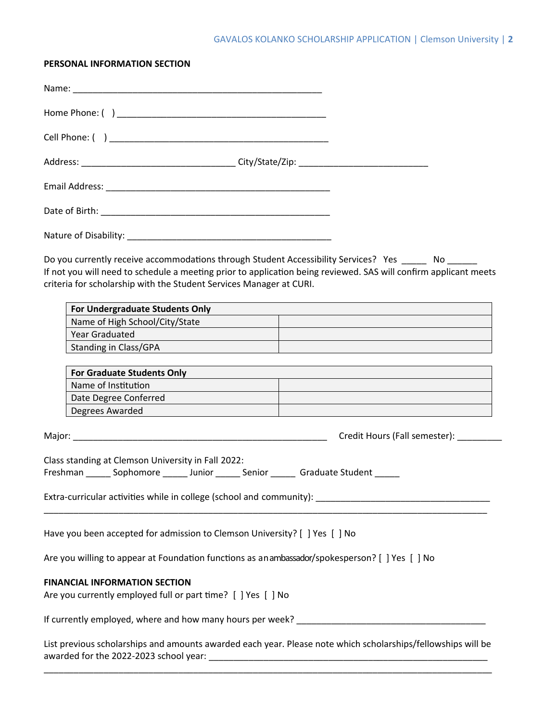#### **PERSONAL INFORMATION SECTION**

| Do you currently receive accommodations through Student Accessibility Services? Yes _____ No _____<br>If not you will need to schedule a meeting prior to application being reviewed. SAS will confirm applicant meets<br>criteria for scholarship with the Student Services Manager at CURI. |                                                                                                                  |
|-----------------------------------------------------------------------------------------------------------------------------------------------------------------------------------------------------------------------------------------------------------------------------------------------|------------------------------------------------------------------------------------------------------------------|
| For Undergraduate Students Only <b>Contract Contract Contract Contract Contract Contract Contract Contract Contract Contract Contract Contract Contract Contract Contract Contract Contract Contract Contract Contract Contract </b>                                                          |                                                                                                                  |
| Name of High School/City/State                                                                                                                                                                                                                                                                |                                                                                                                  |
| <b>Year Graduated</b>                                                                                                                                                                                                                                                                         |                                                                                                                  |
| Standing in Class/GPA and a standing in Class/GPA                                                                                                                                                                                                                                             |                                                                                                                  |
| For Graduate Students Only <b>Executive Students Only Contract to the Contract of Contract Contract on the Contract Only</b>                                                                                                                                                                  |                                                                                                                  |
| Name of Institution                                                                                                                                                                                                                                                                           |                                                                                                                  |
| Date Degree Conferred<br>and The Degree Conferred                                                                                                                                                                                                                                             | and the control of the control of the control of the control of the control of the control of the control of the |
| Degrees Awarded <u>______________________________</u>                                                                                                                                                                                                                                         |                                                                                                                  |
|                                                                                                                                                                                                                                                                                               |                                                                                                                  |
| Class standing at Clemson University in Fall 2022:<br>Freshman _______ Sophomore _______ Junior _______ Senior _______ Graduate Student _____<br>Extra-curricular activities while in college (school and community): ____________                                                            |                                                                                                                  |
| Have you been accepted for admission to Clemson University? [ ] Yes [ ] No                                                                                                                                                                                                                    |                                                                                                                  |
| Are you willing to appear at Foundation functions as anambassador/spokesperson? [ ] Yes [ ] No                                                                                                                                                                                                |                                                                                                                  |
| <b>FINANCIAL INFORMATION SECTION</b><br>Are you currently employed full or part time? [ ] Yes [ ] No                                                                                                                                                                                          |                                                                                                                  |
|                                                                                                                                                                                                                                                                                               |                                                                                                                  |

List previous scholarships and amounts awarded each year. Please note which scholarships/fellowships will be awarded for the 2022-2023 school year: \_\_\_\_\_\_\_\_\_\_\_\_\_\_\_\_\_\_\_\_\_\_\_\_\_\_\_\_\_\_\_\_\_\_\_\_\_\_\_\_\_\_\_\_\_\_\_\_\_\_\_\_\_\_\_\_ \_\_\_\_\_\_\_\_\_\_\_\_\_\_\_\_\_\_\_\_\_\_\_\_\_\_\_\_\_\_\_\_\_\_\_\_\_\_\_\_\_\_\_\_\_\_\_\_\_\_\_\_\_\_\_\_\_\_\_\_\_\_\_\_\_\_\_\_\_\_\_\_\_\_\_\_\_\_\_\_\_\_\_\_\_\_\_\_\_\_